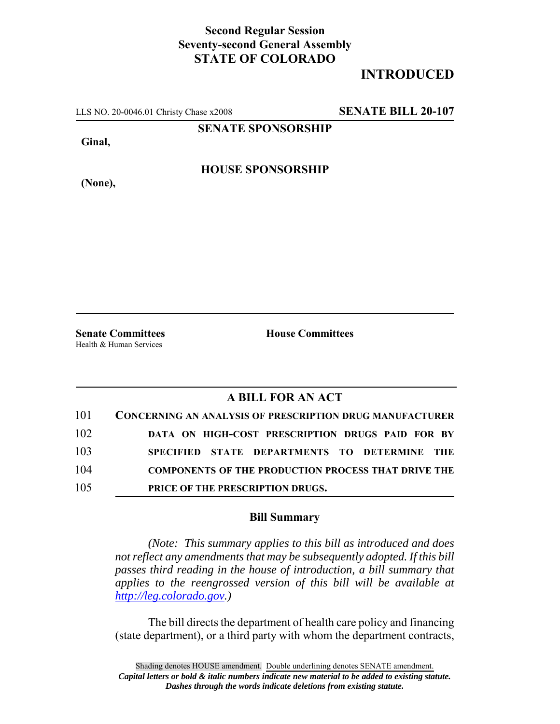## **Second Regular Session Seventy-second General Assembly STATE OF COLORADO**

## **INTRODUCED**

LLS NO. 20-0046.01 Christy Chase x2008 **SENATE BILL 20-107**

**SENATE SPONSORSHIP**

**Ginal,**

**HOUSE SPONSORSHIP**

**(None),**

**Senate Committees House Committees** Health & Human Services

## **A BILL FOR AN ACT**

| 101 | <b>CONCERNING AN ANALYSIS OF PRESCRIPTION DRUG MANUFACTURER</b> |
|-----|-----------------------------------------------------------------|
| 102 | DATA ON HIGH-COST PRESCRIPTION DRUGS PAID FOR BY                |
| 103 | SPECIFIED STATE DEPARTMENTS TO DETERMINE THE                    |
| 104 | <b>COMPONENTS OF THE PRODUCTION PROCESS THAT DRIVE THE</b>      |
| 105 | PRICE OF THE PRESCRIPTION DRUGS.                                |

## **Bill Summary**

*(Note: This summary applies to this bill as introduced and does not reflect any amendments that may be subsequently adopted. If this bill passes third reading in the house of introduction, a bill summary that applies to the reengrossed version of this bill will be available at http://leg.colorado.gov.)*

The bill directs the department of health care policy and financing (state department), or a third party with whom the department contracts,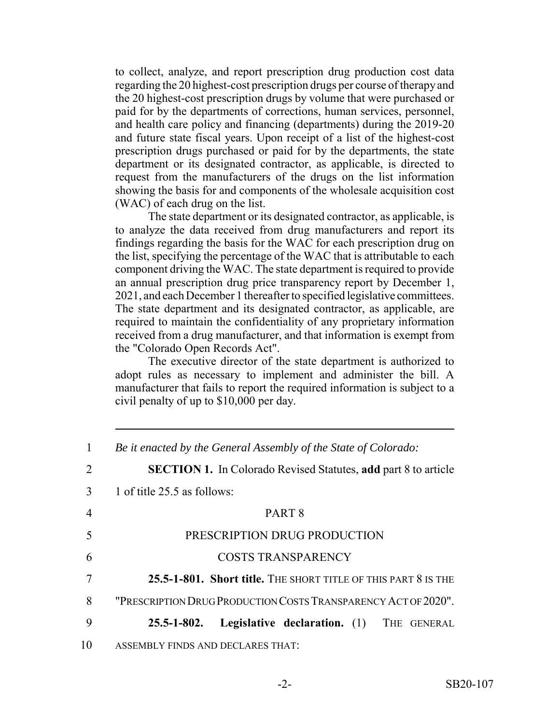to collect, analyze, and report prescription drug production cost data regarding the 20 highest-cost prescription drugs per course of therapy and the 20 highest-cost prescription drugs by volume that were purchased or paid for by the departments of corrections, human services, personnel, and health care policy and financing (departments) during the 2019-20 and future state fiscal years. Upon receipt of a list of the highest-cost prescription drugs purchased or paid for by the departments, the state department or its designated contractor, as applicable, is directed to request from the manufacturers of the drugs on the list information showing the basis for and components of the wholesale acquisition cost (WAC) of each drug on the list.

The state department or its designated contractor, as applicable, is to analyze the data received from drug manufacturers and report its findings regarding the basis for the WAC for each prescription drug on the list, specifying the percentage of the WAC that is attributable to each component driving the WAC. The state department is required to provide an annual prescription drug price transparency report by December 1, 2021, and each December 1 thereafter to specified legislative committees. The state department and its designated contractor, as applicable, are required to maintain the confidentiality of any proprietary information received from a drug manufacturer, and that information is exempt from the "Colorado Open Records Act".

The executive director of the state department is authorized to adopt rules as necessary to implement and administer the bill. A manufacturer that fails to report the required information is subject to a civil penalty of up to \$10,000 per day.

| 1  | Be it enacted by the General Assembly of the State of Colorado:       |
|----|-----------------------------------------------------------------------|
| 2  | <b>SECTION 1.</b> In Colorado Revised Statutes, add part 8 to article |
| 3  | 1 of title 25.5 as follows:                                           |
| 4  | PART <sub>8</sub>                                                     |
| 5  | PRESCRIPTION DRUG PRODUCTION                                          |
| 6  | <b>COSTS TRANSPARENCY</b>                                             |
|    | 25.5-1-801. Short title. THE SHORT TITLE OF THIS PART 8 IS THE        |
| 8  | "PRESCRIPTION DRUG PRODUCTION COSTS TRANSPARENCY ACT OF 2020".        |
| 9  | <b>Legislative declaration.</b> (1) THE GENERAL<br>$25.5 - 1 - 802.$  |
| 10 | ASSEMBLY FINDS AND DECLARES THAT:                                     |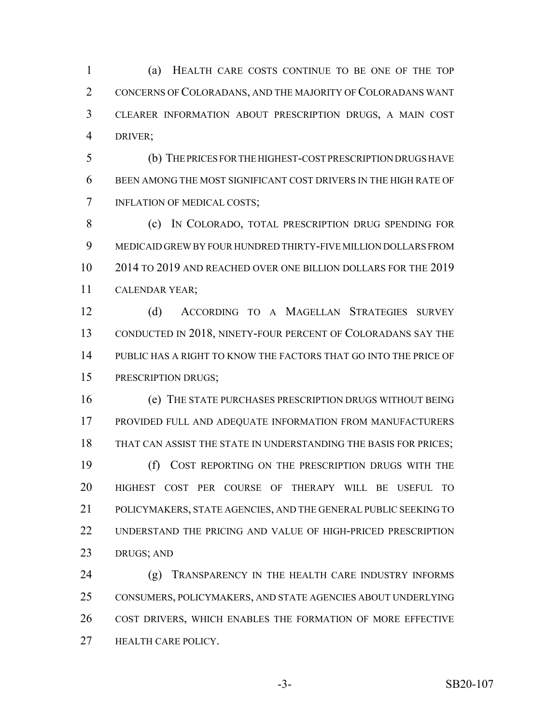(a) HEALTH CARE COSTS CONTINUE TO BE ONE OF THE TOP CONCERNS OF COLORADANS, AND THE MAJORITY OF COLORADANS WANT CLEARER INFORMATION ABOUT PRESCRIPTION DRUGS, A MAIN COST DRIVER;

 (b) THE PRICES FOR THE HIGHEST-COST PRESCRIPTION DRUGS HAVE BEEN AMONG THE MOST SIGNIFICANT COST DRIVERS IN THE HIGH RATE OF INFLATION OF MEDICAL COSTS;

8 (c) IN COLORADO, TOTAL PRESCRIPTION DRUG SPENDING FOR MEDICAID GREW BY FOUR HUNDRED THIRTY-FIVE MILLION DOLLARS FROM 2014 TO 2019 AND REACHED OVER ONE BILLION DOLLARS FOR THE 2019 CALENDAR YEAR;

 (d) ACCORDING TO A MAGELLAN STRATEGIES SURVEY 13 CONDUCTED IN 2018, NINETY-FOUR PERCENT OF COLORADANS SAY THE PUBLIC HAS A RIGHT TO KNOW THE FACTORS THAT GO INTO THE PRICE OF PRESCRIPTION DRUGS;

 (e) THE STATE PURCHASES PRESCRIPTION DRUGS WITHOUT BEING PROVIDED FULL AND ADEQUATE INFORMATION FROM MANUFACTURERS THAT CAN ASSIST THE STATE IN UNDERSTANDING THE BASIS FOR PRICES; (f) COST REPORTING ON THE PRESCRIPTION DRUGS WITH THE HIGHEST COST PER COURSE OF THERAPY WILL BE USEFUL TO

 POLICYMAKERS, STATE AGENCIES, AND THE GENERAL PUBLIC SEEKING TO UNDERSTAND THE PRICING AND VALUE OF HIGH-PRICED PRESCRIPTION DRUGS; AND

 (g) TRANSPARENCY IN THE HEALTH CARE INDUSTRY INFORMS CONSUMERS, POLICYMAKERS, AND STATE AGENCIES ABOUT UNDERLYING COST DRIVERS, WHICH ENABLES THE FORMATION OF MORE EFFECTIVE HEALTH CARE POLICY.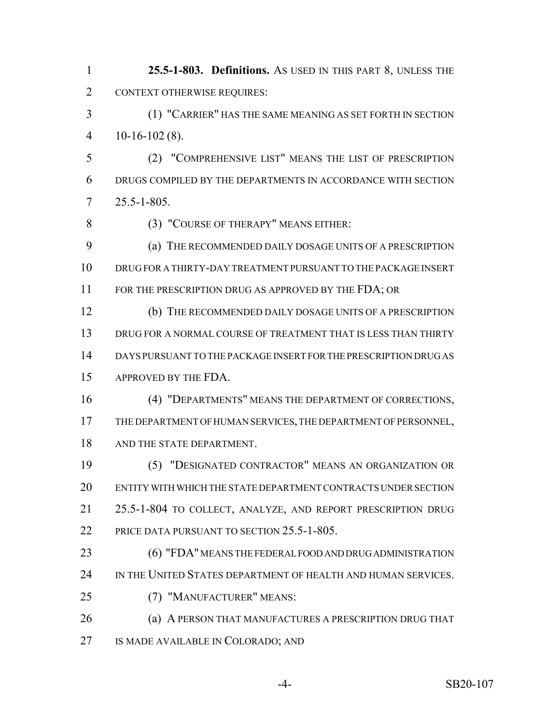**25.5-1-803. Definitions.** AS USED IN THIS PART 8, UNLESS THE CONTEXT OTHERWISE REQUIRES:

 (1) "CARRIER" HAS THE SAME MEANING AS SET FORTH IN SECTION  $4 \quad 10-16-102(8)$ .

 (2) "COMPREHENSIVE LIST" MEANS THE LIST OF PRESCRIPTION DRUGS COMPILED BY THE DEPARTMENTS IN ACCORDANCE WITH SECTION 25.5-1-805.

(3) "COURSE OF THERAPY" MEANS EITHER:

 (a) THE RECOMMENDED DAILY DOSAGE UNITS OF A PRESCRIPTION DRUG FOR A THIRTY-DAY TREATMENT PURSUANT TO THE PACKAGE INSERT 11 FOR THE PRESCRIPTION DRUG AS APPROVED BY THE FDA; OR

 (b) THE RECOMMENDED DAILY DOSAGE UNITS OF A PRESCRIPTION DRUG FOR A NORMAL COURSE OF TREATMENT THAT IS LESS THAN THIRTY DAYS PURSUANT TO THE PACKAGE INSERT FOR THE PRESCRIPTION DRUG AS APPROVED BY THE FDA.

 (4) "DEPARTMENTS" MEANS THE DEPARTMENT OF CORRECTIONS, THE DEPARTMENT OF HUMAN SERVICES, THE DEPARTMENT OF PERSONNEL, AND THE STATE DEPARTMENT.

 (5) "DESIGNATED CONTRACTOR" MEANS AN ORGANIZATION OR ENTITY WITH WHICH THE STATE DEPARTMENT CONTRACTS UNDER SECTION 25.5-1-804 TO COLLECT, ANALYZE, AND REPORT PRESCRIPTION DRUG PRICE DATA PURSUANT TO SECTION 25.5-1-805.

 (6) "FDA" MEANS THE FEDERAL FOOD AND DRUG ADMINISTRATION 24 IN THE UNITED STATES DEPARTMENT OF HEALTH AND HUMAN SERVICES.

(7) "MANUFACTURER" MEANS:

**(a) A PERSON THAT MANUFACTURES A PRESCRIPTION DRUG THAT** IS MADE AVAILABLE IN COLORADO; AND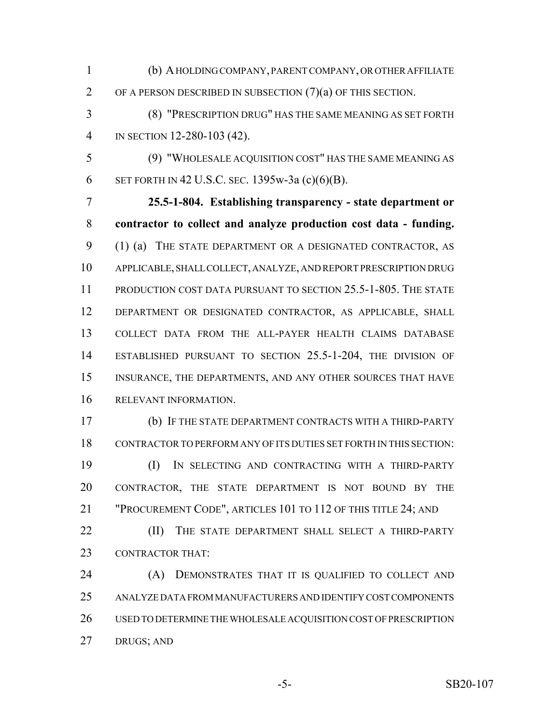(b) A HOLDING COMPANY, PARENT COMPANY, OR OTHER AFFILIATE OF A PERSON DESCRIBED IN SUBSECTION (7)(a) OF THIS SECTION.

 (8) "PRESCRIPTION DRUG" HAS THE SAME MEANING AS SET FORTH IN SECTION 12-280-103 (42).

 (9) "WHOLESALE ACQUISITION COST" HAS THE SAME MEANING AS SET FORTH IN 42 U.S.C. SEC. 1395w-3a (c)(6)(B).

 **25.5-1-804. Establishing transparency - state department or contractor to collect and analyze production cost data - funding.** (1) (a) THE STATE DEPARTMENT OR A DESIGNATED CONTRACTOR, AS APPLICABLE, SHALL COLLECT, ANALYZE, AND REPORT PRESCRIPTION DRUG PRODUCTION COST DATA PURSUANT TO SECTION 25.5-1-805. THE STATE DEPARTMENT OR DESIGNATED CONTRACTOR, AS APPLICABLE, SHALL COLLECT DATA FROM THE ALL-PAYER HEALTH CLAIMS DATABASE ESTABLISHED PURSUANT TO SECTION 25.5-1-204, THE DIVISION OF INSURANCE, THE DEPARTMENTS, AND ANY OTHER SOURCES THAT HAVE RELEVANT INFORMATION.

 (b) IF THE STATE DEPARTMENT CONTRACTS WITH A THIRD-PARTY CONTRACTOR TO PERFORM ANY OF ITS DUTIES SET FORTH IN THIS SECTION:

 (I) IN SELECTING AND CONTRACTING WITH A THIRD-PARTY CONTRACTOR, THE STATE DEPARTMENT IS NOT BOUND BY THE "PROCUREMENT CODE", ARTICLES 101 TO 112 OF THIS TITLE 24; AND

**(II)** THE STATE DEPARTMENT SHALL SELECT A THIRD-PARTY CONTRACTOR THAT:

 (A) DEMONSTRATES THAT IT IS QUALIFIED TO COLLECT AND ANALYZE DATA FROM MANUFACTURERS AND IDENTIFY COST COMPONENTS USED TO DETERMINE THE WHOLESALE ACQUISITION COST OF PRESCRIPTION DRUGS; AND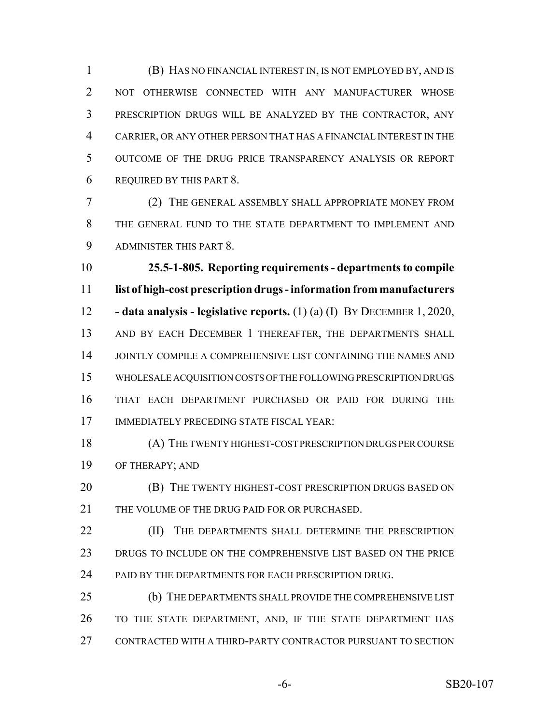(B) HAS NO FINANCIAL INTEREST IN, IS NOT EMPLOYED BY, AND IS NOT OTHERWISE CONNECTED WITH ANY MANUFACTURER WHOSE PRESCRIPTION DRUGS WILL BE ANALYZED BY THE CONTRACTOR, ANY CARRIER, OR ANY OTHER PERSON THAT HAS A FINANCIAL INTEREST IN THE OUTCOME OF THE DRUG PRICE TRANSPARENCY ANALYSIS OR REPORT REQUIRED BY THIS PART 8.

 (2) THE GENERAL ASSEMBLY SHALL APPROPRIATE MONEY FROM THE GENERAL FUND TO THE STATE DEPARTMENT TO IMPLEMENT AND ADMINISTER THIS PART 8.

 **25.5-1-805. Reporting requirements - departments to compile list of high-cost prescription drugs - information from manufacturers - data analysis - legislative reports.** (1) (a) (I) BY DECEMBER 1, 2020, 13 AND BY EACH DECEMBER 1 THEREAFTER, THE DEPARTMENTS SHALL 14 JOINTLY COMPILE A COMPREHENSIVE LIST CONTAINING THE NAMES AND WHOLESALE ACQUISITION COSTS OF THE FOLLOWING PRESCRIPTION DRUGS THAT EACH DEPARTMENT PURCHASED OR PAID FOR DURING THE IMMEDIATELY PRECEDING STATE FISCAL YEAR:

 (A) THE TWENTY HIGHEST-COST PRESCRIPTION DRUGS PER COURSE OF THERAPY; AND

**(B)** THE TWENTY HIGHEST-COST PRESCRIPTION DRUGS BASED ON THE VOLUME OF THE DRUG PAID FOR OR PURCHASED.

**(II)** THE DEPARTMENTS SHALL DETERMINE THE PRESCRIPTION DRUGS TO INCLUDE ON THE COMPREHENSIVE LIST BASED ON THE PRICE 24 PAID BY THE DEPARTMENTS FOR EACH PRESCRIPTION DRUG.

 (b) THE DEPARTMENTS SHALL PROVIDE THE COMPREHENSIVE LIST TO THE STATE DEPARTMENT, AND, IF THE STATE DEPARTMENT HAS CONTRACTED WITH A THIRD-PARTY CONTRACTOR PURSUANT TO SECTION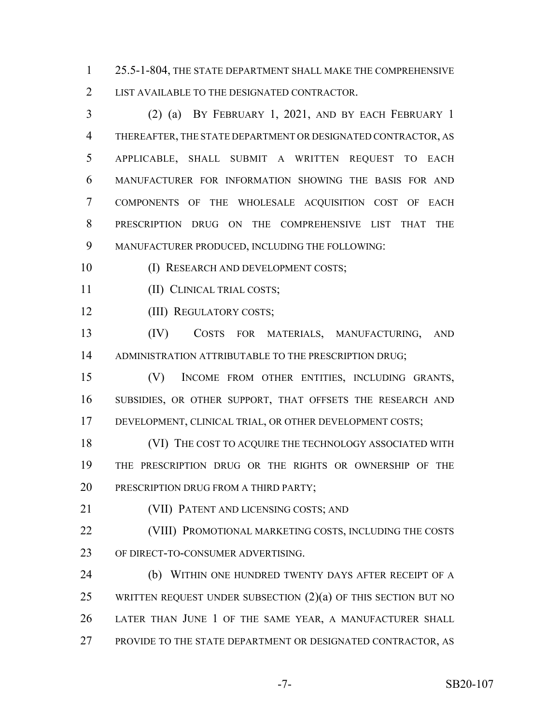25.5-1-804, THE STATE DEPARTMENT SHALL MAKE THE COMPREHENSIVE LIST AVAILABLE TO THE DESIGNATED CONTRACTOR.

 (2) (a) BY FEBRUARY 1, 2021, AND BY EACH FEBRUARY 1 THEREAFTER, THE STATE DEPARTMENT OR DESIGNATED CONTRACTOR, AS APPLICABLE, SHALL SUBMIT A WRITTEN REQUEST TO EACH MANUFACTURER FOR INFORMATION SHOWING THE BASIS FOR AND COMPONENTS OF THE WHOLESALE ACQUISITION COST OF EACH PRESCRIPTION DRUG ON THE COMPREHENSIVE LIST THAT THE MANUFACTURER PRODUCED, INCLUDING THE FOLLOWING:

10 (I) RESEARCH AND DEVELOPMENT COSTS;

- (II) CLINICAL TRIAL COSTS;
- (III) REGULATORY COSTS;

 (IV) COSTS FOR MATERIALS, MANUFACTURING, AND 14 ADMINISTRATION ATTRIBUTABLE TO THE PRESCRIPTION DRUG;

 (V) INCOME FROM OTHER ENTITIES, INCLUDING GRANTS, SUBSIDIES, OR OTHER SUPPORT, THAT OFFSETS THE RESEARCH AND DEVELOPMENT, CLINICAL TRIAL, OR OTHER DEVELOPMENT COSTS;

18 (VI) THE COST TO ACQUIRE THE TECHNOLOGY ASSOCIATED WITH THE PRESCRIPTION DRUG OR THE RIGHTS OR OWNERSHIP OF THE 20 PRESCRIPTION DRUG FROM A THIRD PARTY;

(VII) PATENT AND LICENSING COSTS; AND

 (VIII) PROMOTIONAL MARKETING COSTS, INCLUDING THE COSTS OF DIRECT-TO-CONSUMER ADVERTISING.

**(b) WITHIN ONE HUNDRED TWENTY DAYS AFTER RECEIPT OF A** 25 WRITTEN REQUEST UNDER SUBSECTION  $(2)(a)$  OF THIS SECTION BUT NO LATER THAN JUNE 1 OF THE SAME YEAR, A MANUFACTURER SHALL PROVIDE TO THE STATE DEPARTMENT OR DESIGNATED CONTRACTOR, AS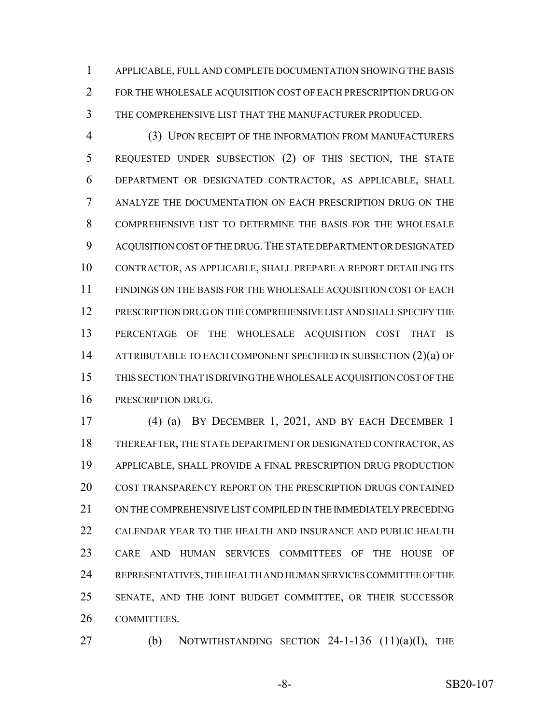APPLICABLE, FULL AND COMPLETE DOCUMENTATION SHOWING THE BASIS FOR THE WHOLESALE ACQUISITION COST OF EACH PRESCRIPTION DRUG ON THE COMPREHENSIVE LIST THAT THE MANUFACTURER PRODUCED.

 (3) UPON RECEIPT OF THE INFORMATION FROM MANUFACTURERS REQUESTED UNDER SUBSECTION (2) OF THIS SECTION, THE STATE DEPARTMENT OR DESIGNATED CONTRACTOR, AS APPLICABLE, SHALL ANALYZE THE DOCUMENTATION ON EACH PRESCRIPTION DRUG ON THE COMPREHENSIVE LIST TO DETERMINE THE BASIS FOR THE WHOLESALE 9 ACQUISITION COST OF THE DRUG. THE STATE DEPARTMENT OR DESIGNATED CONTRACTOR, AS APPLICABLE, SHALL PREPARE A REPORT DETAILING ITS FINDINGS ON THE BASIS FOR THE WHOLESALE ACQUISITION COST OF EACH PRESCRIPTION DRUG ON THE COMPREHENSIVE LIST AND SHALL SPECIFY THE PERCENTAGE OF THE WHOLESALE ACQUISITION COST THAT IS 14 ATTRIBUTABLE TO EACH COMPONENT SPECIFIED IN SUBSECTION (2)(a) OF THIS SECTION THAT IS DRIVING THE WHOLESALE ACQUISITION COST OF THE PRESCRIPTION DRUG.

 (4) (a) BY DECEMBER 1, 2021, AND BY EACH DECEMBER 1 THEREAFTER, THE STATE DEPARTMENT OR DESIGNATED CONTRACTOR, AS APPLICABLE, SHALL PROVIDE A FINAL PRESCRIPTION DRUG PRODUCTION COST TRANSPARENCY REPORT ON THE PRESCRIPTION DRUGS CONTAINED ON THE COMPREHENSIVE LIST COMPILED IN THE IMMEDIATELY PRECEDING CALENDAR YEAR TO THE HEALTH AND INSURANCE AND PUBLIC HEALTH CARE AND HUMAN SERVICES COMMITTEES OF THE HOUSE OF REPRESENTATIVES, THE HEALTH AND HUMAN SERVICES COMMITTEE OF THE SENATE, AND THE JOINT BUDGET COMMITTEE, OR THEIR SUCCESSOR COMMITTEES.

27 (b) NOTWITHSTANDING SECTION -1-136  $(11)(a)(I)$ , THE